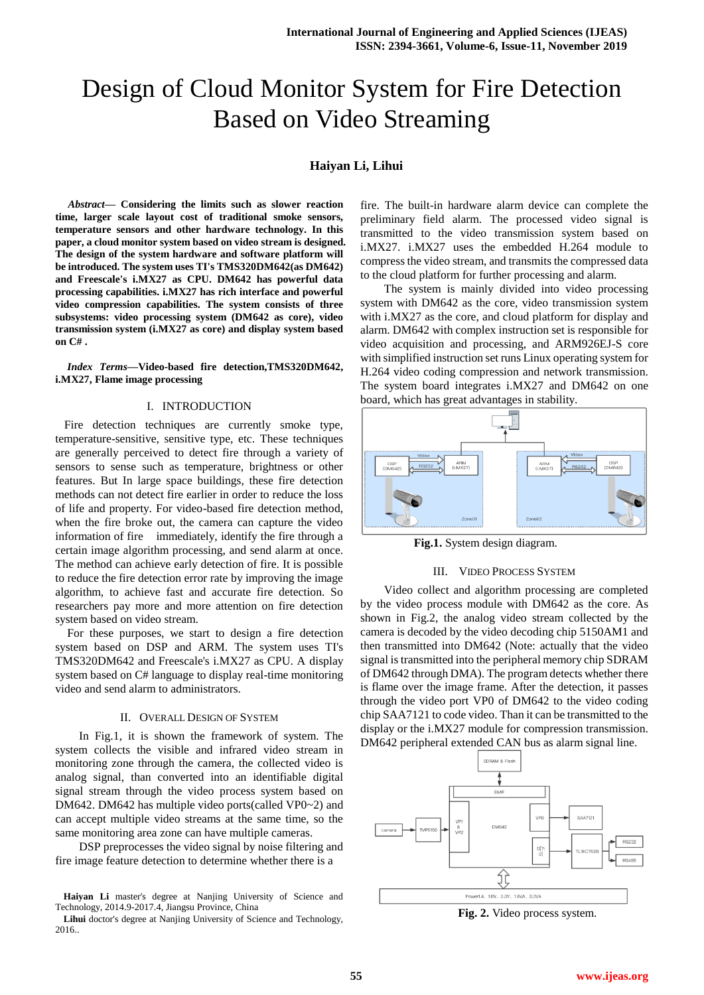# Design of Cloud Monitor System for Fire Detection Based on Video Streaming

## **Haiyan Li, Lihui**

*Abstract***— Considering the limits such as slower reaction time, larger scale layout cost of traditional smoke sensors, temperature sensors and other hardware technology. In this paper, a cloud monitor system based on video stream is designed. The design of the system hardware and software platform will be introduced. The system uses TI's TMS320DM642(as DM642) and Freescale's i.MX27 as CPU. DM642 has powerful data processing capabilities. i.MX27 has rich interface and powerful video compression capabilities. The system consists of three subsystems: video processing system (DM642 as core), video transmission system (i.MX27 as core) and display system based on C# .**

*Index Terms***—Video-based fire detection,TMS320DM642, i.MX27, Flame image processing**

#### I. INTRODUCTION

 Fire detection techniques are currently smoke type, temperature-sensitive, sensitive type, etc. These techniques are generally perceived to detect fire through a variety of sensors to sense such as temperature, brightness or other features. But In large space buildings, these fire detection methods can not detect fire earlier in order to reduce the loss of life and property. For video-based fire detection method, when the fire broke out, the camera can capture the video information of fire immediately, identify the fire through a certain image algorithm processing, and send alarm at once. The method can achieve early detection of fire. It is possible to reduce the fire detection error rate by improving the image algorithm, to achieve fast and accurate fire detection. So researchers pay more and more attention on fire detection system based on video stream.

For these purposes, we start to design a fire detection system based on DSP and ARM. The system uses TI's TMS320DM642 and Freescale's i.MX27 as CPU. A display system based on C# language to display real-time monitoring video and send alarm to administrators.

#### II. OVERALL DESIGN OF SYSTEM

In Fig.1, it is shown the framework of system. The system collects the visible and infrared video stream in monitoring zone through the camera, the collected video is analog signal, than converted into an identifiable digital signal stream through the video process system based on DM642. DM642 has multiple video ports(called VP0~2) and can accept multiple video streams at the same time, so the same monitoring area zone can have multiple cameras.

DSP preprocesses the video signal by noise filtering and fire image feature detection to determine whether there is a

fire. The built-in hardware alarm device can complete the preliminary field alarm. The processed video signal is transmitted to the video transmission system based on i.MX27. i.MX27 uses the embedded H.264 module to compress the video stream, and transmits the compressed data to the cloud platform for further processing and alarm.

The system is mainly divided into video processing system with DM642 as the core, video transmission system with i.MX27 as the core, and cloud platform for display and alarm. DM642 with complex instruction set is responsible for video acquisition and processing, and ARM926EJ-S core with simplified instruction set runs Linux operating system for H.264 video coding compression and network transmission. The system board integrates i.MX27 and DM642 on one board, which has great advantages in stability.



**Fig.1.** System design diagram.

#### III. VIDEO PROCESS SYSTEM

Video collect and algorithm processing are completed by the video process module with DM642 as the core. As shown in Fig.2, the analog video stream collected by the camera is decoded by the video decoding chip 5150AM1 and then transmitted into DM642 (Note: actually that the video signal is transmitted into the peripheral memory chip SDRAM of DM642 through DMA). The program detects whether there is flame over the image frame. After the detection, it passes through the video port VP0 of DM642 to the video coding chip SAA7121 to code video. Than it can be transmitted to the display or the i.MX27 module for compression transmission. DM642 peripheral extended CAN bus as alarm signal line.



**Fig. 2.** Video process system.

**Haiyan Li** master's degree at Nanjing University of Science and Technology, 2014.9-2017.4, Jiangsu Province, China

**Lihui** doctor's degree at Nanjing University of Science and Technology, 2016..